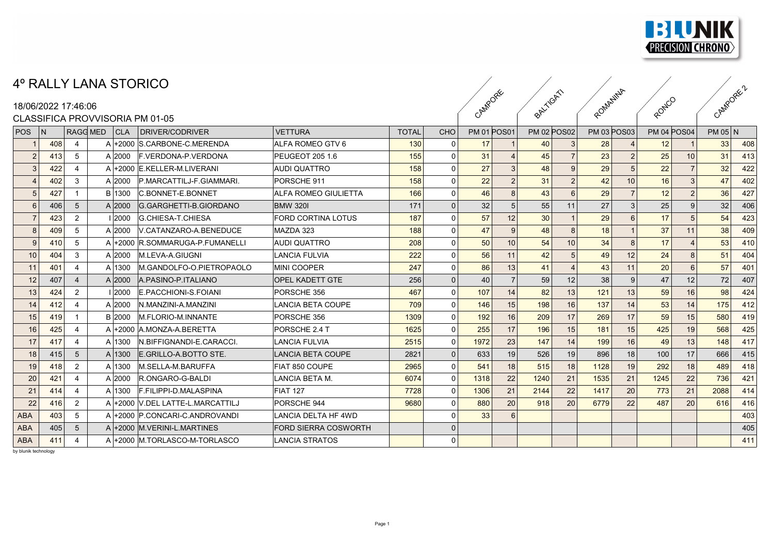

CAMPORE PALTICATION ROMANINA ROMEO

## 4º RALLY LANA STORICO

# 18/06/2022 17:46:06 CLASSIFICA PROVVISORIA PM 01-05

|            | <u> UU II IU II II IV II UU IIII II II U UU</u> |                       |               |                                  |                             |              |                |                    |                |                    |                 |                    |                  |                    |                |           |     |
|------------|-------------------------------------------------|-----------------------|---------------|----------------------------------|-----------------------------|--------------|----------------|--------------------|----------------|--------------------|-----------------|--------------------|------------------|--------------------|----------------|-----------|-----|
| <b>POS</b> | N.                                              | <b>RAGG MED</b>       | <b>CLA</b>    | DRIVER/CODRIVER                  | <b>VETTURA</b>              | <b>TOTAL</b> | <b>CHO</b>     | <b>PM 01 POS01</b> |                | <b>PM 02 POS02</b> |                 | <b>PM 03 POS03</b> |                  | <b>PM 04 POS04</b> |                | $PM$ 05 N |     |
|            | 408                                             | $\boldsymbol{\Delta}$ |               | A +2000 S.CARBONE-C.MERENDA      | ALFA ROMEO GTV 6            | 130          | 0              | 17                 |                | 40                 |                 | 28                 |                  | 12                 |                | 33        | 408 |
|            | 413                                             | 5                     | A 2000        | <b>F. VERDONA-P. VERDONA</b>     | PEUGEOT 205 1.6             | 155          | $\Omega$       | 31                 |                | 45                 |                 | 23                 | $\overline{2}$   | 25                 | 10             | 31        | 413 |
|            | 422                                             | 4                     |               | A +2000 E.KELLER-M.LIVERANI      | AUDI QUATTRO                | 158          | $\Omega$       | 27                 | 3 <sup>1</sup> | 48                 | 9               | 29                 | 5 <sup>1</sup>   | 22                 | $\overline{7}$ | 32        | 422 |
|            | 402                                             | 3                     | A 2000        | P.MARCATTILJ-F.GIAMMARI.         | PORSCHE 911                 | 158          | $\Omega$       | 22                 | 2              | 31                 | 2               | 42                 | 10               | 16                 | 3              | 47        | 402 |
|            | 427                                             |                       | <b>B</b> 1300 | C.BONNET-E.BONNET                | ALFA ROMEO GIULIETTA        | 166          | $\overline{0}$ | 46                 | 8 <sup>1</sup> | 43                 | 6               | 29                 | $\overline{7}$   | 12                 | 2              | 36        | 427 |
|            | 406                                             | 5                     | A 2000        | <b>G.GARGHETTI-B.GIORDANO</b>    | <b>BMW 320I</b>             | 171          | $\overline{0}$ | 32                 |                | 55                 | 11              | 27                 | $\mathbf{3}$     | 25                 | 9              | 32        | 406 |
|            | 423                                             | 2                     | 1 2000        | G.CHIESA-T.CHIESA                | <b>FORD CORTINA LOTUS</b>   | 187          | $\Omega$       | 57                 | 12             | 30                 |                 | 29                 | $6 \overline{6}$ | 17                 | 5              | 54        | 423 |
|            | 409                                             | 5                     | A 2000        | V.CATANZARO-A.BENEDUCE           | MAZDA 323                   | 188          | $\Omega$       | 47                 | 9 <sup>1</sup> | 48                 | 8               | 18                 |                  | 37                 | 11             | 38        | 409 |
|            | 410                                             | 5                     | $A +2000$     | R.SOMMARUGA-P.FUMANELLI          | <b>AUDI QUATTRO</b>         | 208          | $\Omega$       | 50                 | 10             | 54                 | 10 <sup>1</sup> | 34                 | 8 <sup>1</sup>   | 17                 | $\Delta$       | 53        | 410 |
| 10         | 404                                             | 3                     | A 2000        | M.LEVA-A.GIUGNI                  | LANCIA FULVIA               | 222          | $\Omega$       | 56                 | 11             | 42                 | 5 <sup>1</sup>  | 49                 | 12               | 24                 | 8              | 51        | 404 |
| 11         | 401                                             | 4                     | A 1300        | M.GANDOLFO-O.PIETROPAOLO         | <b>MINI COOPER</b>          | 247          | $\Omega$       | 86                 | 13             | 41                 |                 | 43                 | 11               | 20                 | 6              | 57        | 401 |
| 12         | 407                                             | $\boldsymbol{\Delta}$ | A 2000        | A PASINO-P ITALIANO              | <b>OPEL KADETT GTE</b>      | 256          | $\Omega$       | 40                 |                | 59                 | 12              | 38                 | $\overline{9}$   | 47                 | 12             | 72        | 407 |
| 13         | 424                                             | 2                     | 12000         | <b>E.PACCHIONI-S.FOIANI</b>      | PORSCHE 356                 | 467          | $\Omega$       | 107                | 14             | 82                 | 13              | 121                | 13               | 59                 | 16             | 98        | 424 |
| 14         | 412                                             | 4                     | A 2000        | N.MANZINI-A.MANZINI              | LANCIA BETA COUPE           | 709          | $\Omega$       | 146                | 15             | 198                | 16              | 137                | 14               | 53                 | 14             | 175       | 412 |
| 15         | 419                                             |                       | <b>B</b> 2000 | <b>M.FLORIO-M.INNANTE</b>        | PORSCHE 356                 | 1309         | $\Omega$       | 192                | 16             | 209                | 17              | 269                | 17               | 59                 | 15             | 580       | 419 |
| 16         | 425                                             | 4                     |               | A +2000 A.MONZA-A.BERETTA        | PORSCHE 2.4 T               | 1625         | $\Omega$       | 255                | 17             | 196                | 15              | 181                | 15               | 425                | 19             | 568       | 425 |
| 17         | 417                                             | $\boldsymbol{\Delta}$ | A 1300        | N.BIFFIGNANDI-E.CARACCI.         | <b>LANCIA FULVIA</b>        | 2515         | $\Omega$       | 1972               | 23             | 147                | 14              | 199                | 16               | 49                 | 13             | 148       | 417 |
| 18         | 415                                             | 5                     | $A$ 1300      | E.GRILLO-A.BOTTO STE.            | LANCIA BETA COUPE           | 2821         | $\Omega$       | 633                | 19             | 526                | 19              | 896                | 18               | 100                | 17             | 666       | 415 |
| 19         | 418                                             | 2                     | A 1300        | <b>M.SELLA-M.BARUFFA</b>         | FIAT 850 COUPE              | 2965         | $\Omega$       | 541                | 18             | 515                | 18              | 1128               | 19               | 292                | 18             | 489       | 418 |
| 20         | 421                                             | 4                     | A 2000        | R.ONGARO-G-BALDI                 | LANCIA BETA M.              | 6074         | $\Omega$       | 1318               | 22             | 1240               | 21              | 1535               | 21               | 1245               | 22             | 736       | 421 |
| 21         | 414                                             | 4                     | A 1300        | F.FILIPPI-D.MALASPINA            | FIAT 127                    | 7728         | $\Omega$       | 1306               | 21             | 2144               | 22              | 1417               | 20               | 773                | 21             | 2088      | 414 |
| 22         | 416                                             | 2                     |               | A +2000 V.DEL LATTE-L.MARCATTILJ | PORSCHE 944                 | 9680         | 0              | 880                | 20             | 918                | 20              | 6779               | 22               | 487                | 20             | 616       | 416 |
| <b>ABA</b> | 403                                             | 5                     |               | A +2000 P.CONCARI-C.ANDROVANDI   | LANCIA DELTA HF 4WD         |              | $\Omega$       | 33                 | 6              |                    |                 |                    |                  |                    |                |           | 403 |
| <b>ABA</b> | 405                                             | 5                     |               | A +2000 M.VERINI-L.MARTINES      | <b>FORD SIERRA COSWORTH</b> |              | $\overline{0}$ |                    |                |                    |                 |                    |                  |                    |                |           | 405 |
| <b>ABA</b> | 411                                             | 4                     |               | A +2000 M.TORLASCO-M-TORLASCO    | <b>LANCIA STRATOS</b>       |              | 0              |                    |                |                    |                 |                    |                  |                    |                |           | 411 |

by blunik technology